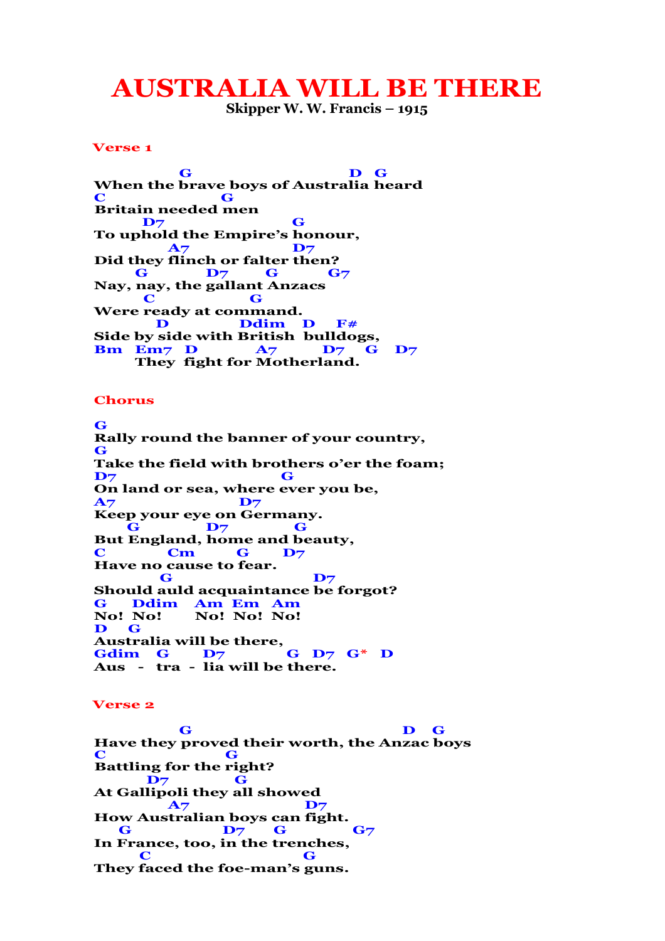## **AUSTRALIA WILL BE THERE**

**Skipper W. W. Francis – 1915**

## **Verse 1**

 **G D G When the brave boys of Australia heard C G Britain needed men D7 G To uphold the Empire's honour, A7 D7 Did they flinch or falter then? G D**7 **G G**7 **Nay, nay, the gallant Anzacs C G Were ready at command. D Ddim D F**# **Side by side with British bulldogs, Bm Em7 D A7 D7 G D7 They fight for Motherland.** 

## **Chorus**

 **G Rally round the banner of your country, G Take the field with brothers o'er the foam; D7 G On land or sea, where ever you be, A7 D7 Keep your eye on Germany. G D7 G But England, home and beauty, C Cm G D7 Have no cause to fear.**  $\overline{\mathbf{G}}$  **D**7 **Should auld acquaintance be forgot? G Ddim Am Em Am No! No! No! No! No! D G Australia will be there, Gdim G D7 G D7 G\* D Aus - tra - lia will be there.** 

## **Verse 2**

 **G D G Have they proved their worth, the Anzac boys C G Battling for the right? D7 G At Gallipoli they all showed A7 D7 How Australian boys can fight. G D**7 **G G**7 **In France, too, in the trenches,**  $\overline{\mathbf{C}}$  **G They faced the foe-man's guns.**